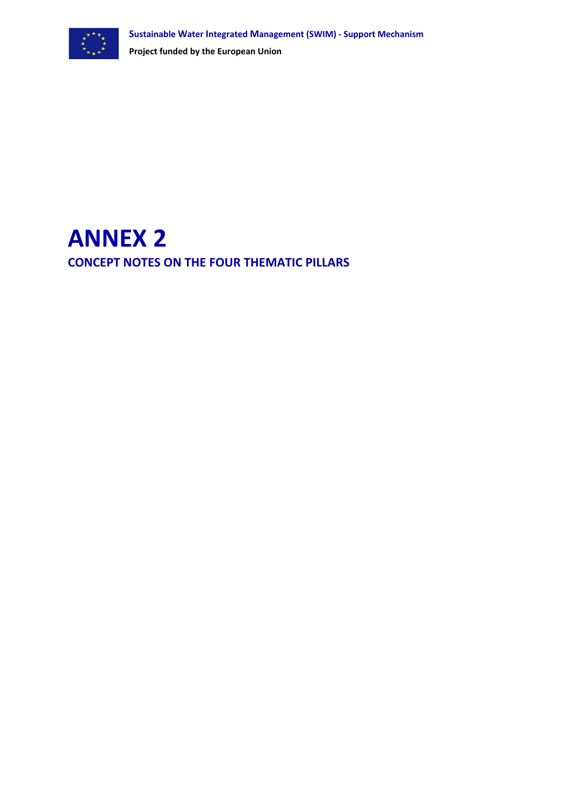

# **ANNEX 2 CONCEPT NOTES ON THE FOUR THEMATIC PILLARS**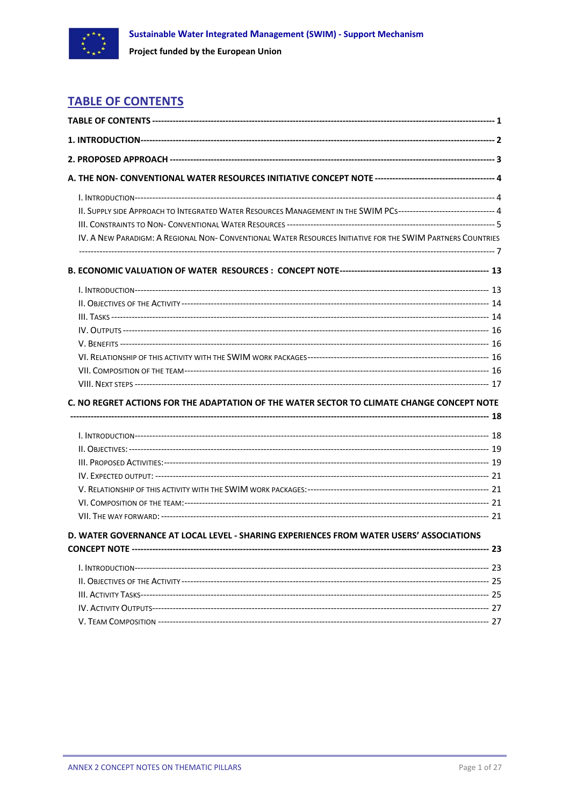<span id="page-1-0"></span>

## **TABLE OF CONTENTS**

| II. SUPPLY SIDE APPROACH TO INTEGRATED WATER RESOURCES MANAGEMENT IN THE SWIM PCS------------------------------ 4 |  |  |
|-------------------------------------------------------------------------------------------------------------------|--|--|
|                                                                                                                   |  |  |
| IV. A NEW PARADIGM: A REGIONAL NON- CONVENTIONAL WATER RESOURCES INITIATIVE FOR THE SWIM PARTNERS COUNTRIES       |  |  |
|                                                                                                                   |  |  |
|                                                                                                                   |  |  |
|                                                                                                                   |  |  |
|                                                                                                                   |  |  |
|                                                                                                                   |  |  |
|                                                                                                                   |  |  |
|                                                                                                                   |  |  |
|                                                                                                                   |  |  |
|                                                                                                                   |  |  |
|                                                                                                                   |  |  |
| C. NO REGRET ACTIONS FOR THE ADAPTATION OF THE WATER SECTOR TO CLIMATE CHANGE CONCEPT NOTE                        |  |  |
|                                                                                                                   |  |  |
|                                                                                                                   |  |  |
|                                                                                                                   |  |  |
|                                                                                                                   |  |  |
|                                                                                                                   |  |  |
|                                                                                                                   |  |  |
|                                                                                                                   |  |  |
|                                                                                                                   |  |  |
| D. WATER GOVERNANCE AT LOCAL LEVEL - SHARING EXPERIENCES FROM WATER USERS' ASSOCIATIONS                           |  |  |
|                                                                                                                   |  |  |
|                                                                                                                   |  |  |
|                                                                                                                   |  |  |
|                                                                                                                   |  |  |
|                                                                                                                   |  |  |
|                                                                                                                   |  |  |
|                                                                                                                   |  |  |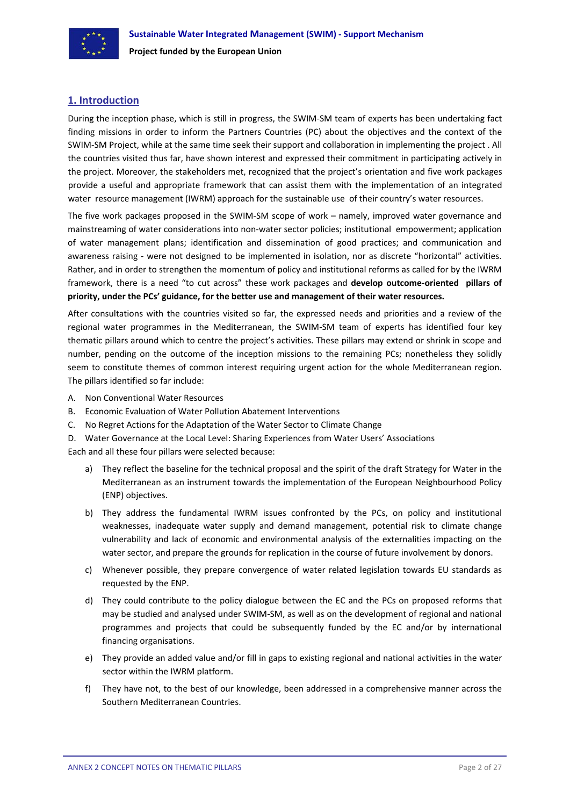<span id="page-3-0"></span>

## **1. Introduction**

During the inception phase, which is still in progress, the SWIM‐SM team of experts has been undertaking fact finding missions in order to inform the Partners Countries (PC) about the objectives and the context of the SWIM‐SM Project, while at the same time seek their support and collaboration in implementing the project . All the countries visited thus far, have shown interest and expressed their commitment in participating actively in the project. Moreover, the stakeholders met, recognized that the project's orientation and five work packages provide a useful and appropriate framework that can assist them with the implementation of an integrated water resource management (IWRM) approach for the sustainable use of their country's water resources.

The five work packages proposed in the SWIM‐SM scope of work – namely, improved water governance and mainstreaming of water considerations into non-water sector policies; institutional empowerment; application of water management plans; identification and dissemination of good practices; and communication and awareness raising - were not designed to be implemented in isolation, nor as discrete "horizontal" activities. Rather, and in order to strengthen the momentum of policy and institutional reforms as called for by the IWRM framework, there is a need "to cut across" these work packages and **develop outcome‐oriented pillars of priority, under the PCs' guidance, for the better use and management of their water resources.**

After consultations with the countries visited so far, the expressed needs and priorities and a review of the regional water programmes in the Mediterranean, the SWIM‐SM team of experts has identified four key thematic pillars around which to centre the project's activities. These pillars may extend or shrink in scope and number, pending on the outcome of the inception missions to the remaining PCs; nonetheless they solidly seem to constitute themes of common interest requiring urgent action for the whole Mediterranean region. The pillars identified so far include:

- A. Non Conventional Water Resources
- B. Economic Evaluation of Water Pollution Abatement Interventions
- C. No Regret Actions for the Adaptation of the Water Sector to Climate Change
- D. Water Governance at the Local Level: Sharing Experiences from Water Users' Associations

Each and all these four pillars were selected because:

- a) They reflect the baseline for the technical proposal and the spirit of the draft Strategy for Water in the Mediterranean as an instrument towards the implementation of the European Neighbourhood Policy (ENP) objectives.
- b) They address the fundamental IWRM issues confronted by the PCs, on policy and institutional weaknesses, inadequate water supply and demand management, potential risk to climate change vulnerability and lack of economic and environmental analysis of the externalities impacting on the water sector, and prepare the grounds for replication in the course of future involvement by donors.
- c) Whenever possible, they prepare convergence of water related legislation towards EU standards as requested by the ENP.
- d) They could contribute to the policy dialogue between the EC and the PCs on proposed reforms that may be studied and analysed under SWIM‐SM, as well as on the development of regional and national programmes and projects that could be subsequently funded by the EC and/or by international financing organisations.
- e) They provide an added value and/or fill in gaps to existing regional and national activities in the water sector within the IWRM platform.
- f) They have not, to the best of our knowledge, been addressed in a comprehensive manner across the Southern Mediterranean Countries.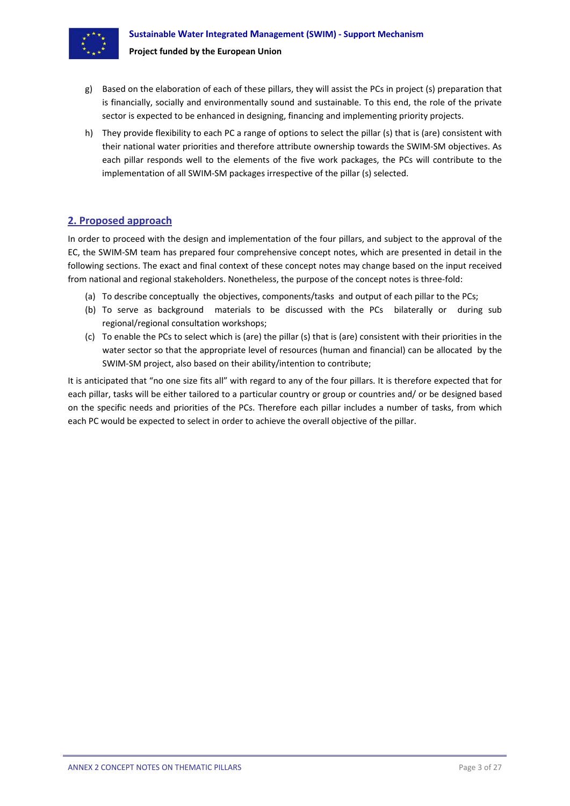<span id="page-4-0"></span>

- g) Based on the elaboration of each of these pillars, they will assist the PCs in project (s) preparation that is financially, socially and environmentally sound and sustainable. To this end, the role of the private sector is expected to be enhanced in designing, financing and implementing priority projects.
- h) They provide flexibility to each PC a range of options to select the pillar (s) that is (are) consistent with their national water priorities and therefore attribute ownership towards the SWIM‐SM objectives. As each pillar responds well to the elements of the five work packages, the PCs will contribute to the implementation of all SWIM‐SM packages irrespective of the pillar (s) selected.

## **2. Proposed approach**

In order to proceed with the design and implementation of the four pillars, and subject to the approval of the EC, the SWIM‐SM team has prepared four comprehensive concept notes, which are presented in detail in the following sections. The exact and final context of these concept notes may change based on the input received from national and regional stakeholders. Nonetheless, the purpose of the concept notes is three-fold:

- (a) To describe conceptually the objectives, components/tasks and output of each pillar to the PCs;
- (b) To serve as background materials to be discussed with the PCs bilaterally or during sub regional/regional consultation workshops;
- (c) To enable the PCs to select which is (are) the pillar (s) that is (are) consistent with their priorities in the water sector so that the appropriate level of resources (human and financial) can be allocated by the SWIM‐SM project, also based on their ability/intention to contribute;

It is anticipated that "no one size fits all" with regard to any of the four pillars. It is therefore expected that for each pillar, tasks will be either tailored to a particular country or group or countries and/ or be designed based on the specific needs and priorities of the PCs. Therefore each pillar includes a number of tasks, from which each PC would be expected to select in order to achieve the overall objective of the pillar.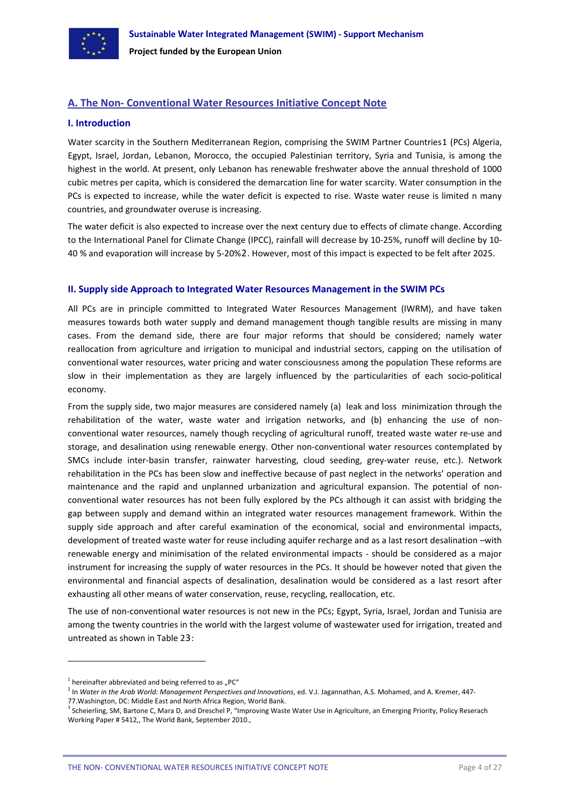<span id="page-5-0"></span>

## **A. The Non‐ Conventional Water Resources Initiative Concept Note**

#### **I. Introduction**

Water scarcity in the Southern Mediterranean Region, comprising the SWIM Partner Countries[1](#page-5-1) (PCs) Algeria, Egypt, Israel, Jordan, Lebanon, Morocco, the occupied Palestinian territory, Syria and Tunisia, is among the highest in the world. At present, only Lebanon has renewable freshwater above the annual threshold of 1000 cubic metres per capita, which is considered the demarcation line for water scarcity. Water consumption in the PCs is expected to increase, while the water deficit is expected to rise. Waste water reuse is limited n many countries, and groundwater overuse is increasing.

The water deficit is also expected to increase over the next century due to effects of climate change. According to the International Panel for Climate Change (IPCC), rainfall will decrease by 10-25%, runoff will decline by 10-40 % and evaporation will increase by 5‐20%[2](#page-5-2). However, most of this impact is expected to be felt after 2025.

#### **II. Supply side Approach to Integrated Water Resources Management in the SWIM PCs**

All PCs are in principle committed to Integrated Water Resources Management (IWRM), and have taken measures towards both water supply and demand management though tangible results are missing in many cases. From the demand side, there are four major reforms that should be considered; namely water reallocation from agriculture and irrigation to municipal and industrial sectors, capping on the utilisation of conventional water resources, water pricing and water consciousness among the population These reforms are slow in their implementation as they are largely influenced by the particularities of each socio‐political economy.

From the supply side, two major measures are considered namely (a) leak and loss minimization through the rehabilitation of the water, waste water and irrigation networks, and (b) enhancing the use of nonconventional water resources, namely though recycling of agricultural runoff, treated waste water re‐use and storage, and desalination using renewable energy. Other non‐conventional water resources contemplated by SMCs include inter-basin transfer, rainwater harvesting, cloud seeding, grey-water reuse, etc.). Network rehabilitation in the PCs has been slow and ineffective because of past neglect in the networks' operation and maintenance and the rapid and unplanned urbanization and agricultural expansion. The potential of non‐ conventional water resources has not been fully explored by the PCs although it can assist with bridging the gap between supply and demand within an integrated water resources management framework. Within the supply side approach and after careful examination of the economical, social and environmental impacts, development of treated waste water for reuse including aquifer recharge and as a last resort desalination –with renewable energy and minimisation of the related environmental impacts ‐ should be considered as a major instrument for increasing the supply of water resources in the PCs. It should be however noted that given the environmental and financial aspects of desalination, desalination would be considered as a last resort after exhausting all other means of water conservation, reuse, recycling, reallocation, etc.

The use of non-conventional water resources is not new in the PCs; Egypt, Syria, Israel, Jordan and Tunisia are among the twenty countries in the world with the largest volume of wastewater used for irrigation, treated and untreated as shown in Table 2[3](#page-5-3):

 $1$  hereinafter abbreviated and being referred to as "PC"

<span id="page-5-2"></span><span id="page-5-1"></span><sup>2</sup> In *Water in the Arab World: Management Perspectives and Innovations*, ed. V.J. Jagannathan, A.S. Mohamed, and A. Kremer, 447‐

<span id="page-5-3"></span> $3$  Scheierling, SM, Bartone C, Mara D, and Dreschel P, "Improving Waste Water Use in Agriculture, an Emerging Priority, Policy Reserach Working Paper # 5412,, The World Bank, September 2010.,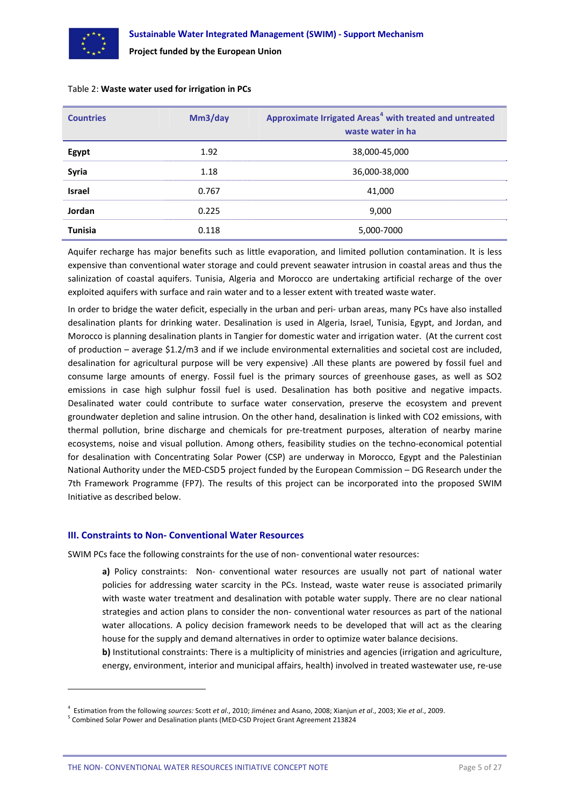<span id="page-6-0"></span>

| <b>Countries</b> | Mm3/day | Approximate Irrigated Areas <sup>4</sup> with treated and untreated<br>waste water in ha |
|------------------|---------|------------------------------------------------------------------------------------------|
| Egypt            | 1.92    | 38,000-45,000                                                                            |
| Syria            | 1.18    | 36,000-38,000                                                                            |
| <b>Israel</b>    | 0.767   | 41,000                                                                                   |
| Jordan           | 0.225   | 9,000                                                                                    |
| <b>Tunisia</b>   | 0.118   | 5,000-7000                                                                               |

#### Table 2: **Waste water used for irrigation in PCs**

Aquifer recharge has major benefits such as little evaporation, and limited pollution contamination. It is less expensive than conventional water storage and could prevent seawater intrusion in coastal areas and thus the salinization of coastal aquifers. Tunisia, Algeria and Morocco are undertaking artificial recharge of the over exploited aquifers with surface and rain water and to a lesser extent with treated waste water.

In order to bridge the water deficit, especially in the urban and peri- urban areas, many PCs have also installed desalination plants for drinking water. Desalination is used in Algeria, Israel, Tunisia, Egypt, and Jordan, and Morocco is planning desalination plants in Tangier for domestic water and irrigation water. (At the current cost of production – average \$1.2/m3 and if we include environmental externalities and societal cost are included, desalination for agricultural purpose will be very expensive) .All these plants are powered by fossil fuel and consume large amounts of energy. Fossil fuel is the primary sources of greenhouse gases, as well as SO2 emissions in case high sulphur fossil fuel is used. Desalination has both positive and negative impacts. Desalinated water could contribute to surface water conservation, preserve the ecosystem and prevent groundwater depletion and saline intrusion. On the other hand, desalination is linked with CO2 emissions, with thermal pollution, brine discharge and chemicals for pre‐treatment purposes, alteration of nearby marine ecosystems, noise and visual pollution. Among others, feasibility studies on the techno-economical potential for desalination with Concentrating Solar Power (CSP) are underway in Morocco, Egypt and the Palestinian National Authority under the MED‐CSD[5](#page-6-2) project funded by the European Commission – DG Research under the 7th Framework Programme (FP7). The results of this project can be incorporated into the proposed SWIM Initiative as described below.

#### **III. Constraints to Non‐ Conventional Water Resources**

SWIM PCs face the following constraints for the use of non‐ conventional water resources:

a) Policy constraints: Non-conventional water resources are usually not part of national water policies for addressing water scarcity in the PCs. Instead, waste water reuse is associated primarily with waste water treatment and desalination with potable water supply. There are no clear national strategies and action plans to consider the non‐ conventional water resources as part of the national water allocations. A policy decision framework needs to be developed that will act as the clearing house for the supply and demand alternatives in order to optimize water balance decisions.

**b**) Institutional constraints: There is a multiplicity of ministries and agencies (irrigation and agriculture, energy, environment, interior and municipal affairs, health) involved in treated wastewater use, re‐use

<span id="page-6-1"></span><sup>4</sup> Estimation from the following *sources:* Scott *et al*., 2010; Jiménez and Asano, 2008; Xianjun *et al*., 2003; Xie *et al*., 2009.

<span id="page-6-2"></span><sup>5</sup> Combined Solar Power and Desalination plants (MED‐CSD Project Grant Agreement 213824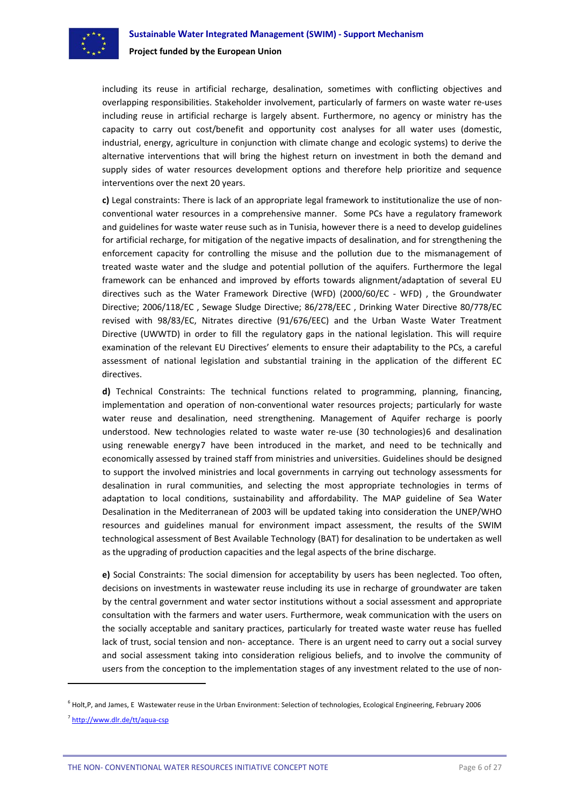

including its reuse in artificial recharge, desalination, sometimes with conflicting objectives and overlapping responsibilities. Stakeholder involvement, particularly of farmers on waste water re‐uses including reuse in artificial recharge is largely absent. Furthermore, no agency or ministry has the capacity to carry out cost/benefit and opportunity cost analyses for all water uses (domestic, industrial, energy, agriculture in conjunction with climate change and ecologic systems) to derive the alternative interventions that will bring the highest return on investment in both the demand and supply sides of water resources development options and therefore help prioritize and sequence interventions over the next 20 years.

**c)** Legal constraints: There is lack of an appropriate legal framework to institutionalize the use of non‐ conventional water resources in a comprehensive manner. Some PCs have a regulatory framework and guidelines for waste water reuse such as in Tunisia, however there is a need to develop guidelines for artificial recharge, for mitigation of the negative impacts of desalination, and for strengthening the enforcement capacity for controlling the misuse and the pollution due to the mismanagement of treated waste water and the sludge and potential pollution of the aquifers. Furthermore the legal framework can be enhanced and improved by efforts towards alignment/adaptation of several EU directives such as the Water Framework Directive (WFD) (2000/60/EC - WFD), the Groundwater Directive; 2006/118/EC , Sewage Sludge Directive; 86/278/EEC , Drinking Water Directive 80/778/EC revised with 98/83/EC, Nitrates directive (91/676/EEC) and the Urban Waste Water Treatment Directive (UWWTD) in order to fill the regulatory gaps in the national legislation. This will require examination of the relevant EU Directives' elements to ensure their adaptability to the PCs, a careful assessment of national legislation and substantial training in the application of the different EC directives.

**d)** Technical Constraints: The technical functions related to programming, planning, financing, implementation and operation of non‐conventional water resources projects; particularly for waste water reuse and desalination, need strengthening. Management of Aquifer recharge is poorly understood. New technologies related to waste water re-use (30 technologies)[6](#page-7-0) and desalination using renewable energy[7](#page-7-1) have been introduced in the market, and need to be technically and economically assessed by trained staff from ministries and universities. Guidelines should be designed to support the involved ministries and local governments in carrying out technology assessments for desalination in rural communities, and selecting the most appropriate technologies in terms of adaptation to local conditions, sustainability and affordability. The MAP guideline of Sea Water Desalination in the Mediterranean of 2003 will be updated taking into consideration the UNEP/WHO resources and guidelines manual for environment impact assessment, the results of the SWIM technological assessment of Best Available Technology (BAT) for desalination to be undertaken as well as the upgrading of production capacities and the legal aspects of the brine discharge.

**e)** Social Constraints: The social dimension for acceptability by users has been neglected. Too often, decisions on investments in wastewater reuse including its use in recharge of groundwater are taken by the central government and water sector institutions without a social assessment and appropriate consultation with the farmers and water users. Furthermore, weak communication with the users on the socially acceptable and sanitary practices, particularly for treated waste water reuse has fuelled lack of trust, social tension and non- acceptance. There is an urgent need to carry out a social survey and social assessment taking into consideration religious beliefs, and to involve the community of users from the conception to the implementation stages of any investment related to the use of non‐

<span id="page-7-0"></span><sup>&</sup>lt;sup>6</sup> Holt,P, and James, E Wastewater reuse in the Urban Environment: Selection of technologies, Ecological Engineering, February 2006

<span id="page-7-1"></span><sup>7</sup> [http://www.dlr.de/tt/aqua](http://www.dlr.de/tt/aqua-csp)‐csp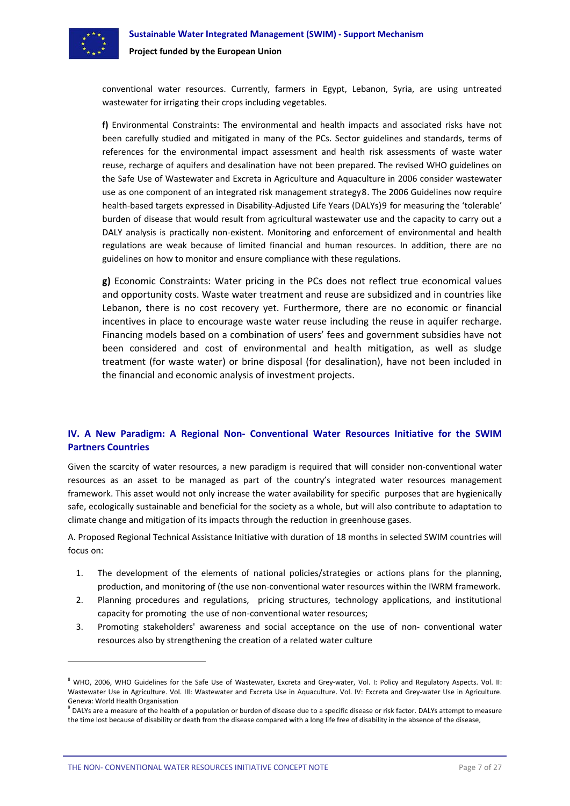<span id="page-8-0"></span>

conventional water resources. Currently, farmers in Egypt, Lebanon, Syria, are using untreated wastewater for irrigating their crops including vegetables.

**f)** Environmental Constraints: The environmental and health impacts and associated risks have not been carefully studied and mitigated in many of the PCs. Sector guidelines and standards, terms of references for the environmental impact assessment and health risk assessments of waste water reuse, recharge of aquifers and desalination have not been prepared. The revised WHO guidelines on the Safe Use of Wastewater and Excreta in Agriculture and Aquaculture in 2006 consider wastewater use as one component of an integrated risk management strategy[8](#page-8-1). The 2006 Guidelines now require health‐based targets expressed in Disability‐Adjusted Life Years (DALYs)[9](#page-8-2) for measuring the 'tolerable' burden of disease that would result from agricultural wastewater use and the capacity to carry out a DALY analysis is practically non‐existent. Monitoring and enforcement of environmental and health regulations are weak because of limited financial and human resources. In addition, there are no guidelines on how to monitor and ensure compliance with these regulations.

**g)** Economic Constraints: Water pricing in the PCs does not reflect true economical values and opportunity costs. Waste water treatment and reuse are subsidized and in countries like Lebanon, there is no cost recovery yet. Furthermore, there are no economic or financial incentives in place to encourage waste water reuse including the reuse in aquifer recharge. Financing models based on a combination of users' fees and government subsidies have not been considered and cost of environmental and health mitigation, as well as sludge treatment (for waste water) or brine disposal (for desalination), have not been included in the financial and economic analysis of investment projects.

## **IV. A New Paradigm: A Regional Non‐ Conventional Water Resources Initiative for the SWIM Partners Countries**

Given the scarcity of water resources, a new paradigm is required that will consider non‐conventional water resources as an asset to be managed as part of the country's integrated water resources management framework. This asset would not only increase the water availability for specific purposes that are hygienically safe, ecologically sustainable and beneficial for the society as a whole, but will also contribute to adaptation to climate change and mitigation of its impacts through the reduction in greenhouse gases.

A. Proposed Regional Technical Assistance Initiative with duration of 18 months in selected SWIM countries will focus on:

- 1. The development of the elements of national policies/strategies or actions plans for the planning, production, and monitoring of (the use non-conventional water resources within the IWRM framework.
- 2. Planning procedures and regulations, pricing structures, technology applications, and institutional capacity for promoting the use of non‐conventional water resources;
- 3. Promoting stakeholders' awareness and social acceptance on the use of non‐ conventional water resources also by strengthening the creation of a related water culture

<span id="page-8-1"></span><sup>8</sup> WHO, 2006, WHO Guidelines for the Safe Use of Wastewater, Excreta and Grey-water, Vol. I: Policy and Regulatory Aspects. Vol. II: Wastewater Use in Agriculture. Vol. III: Wastewater and Excreta Use in Aquaculture. Vol. IV: Excreta and Grey-water Use in Agriculture. Geneva: World Health Organisation<br><sup>9</sup> DALYs are a measure of the health of a population or burden of disease due to a specific disease or risk factor. DALYs attempt to measure

<span id="page-8-2"></span>the time lost because of disability or death from the disease compared with a long life free of disability in the absence of the disease,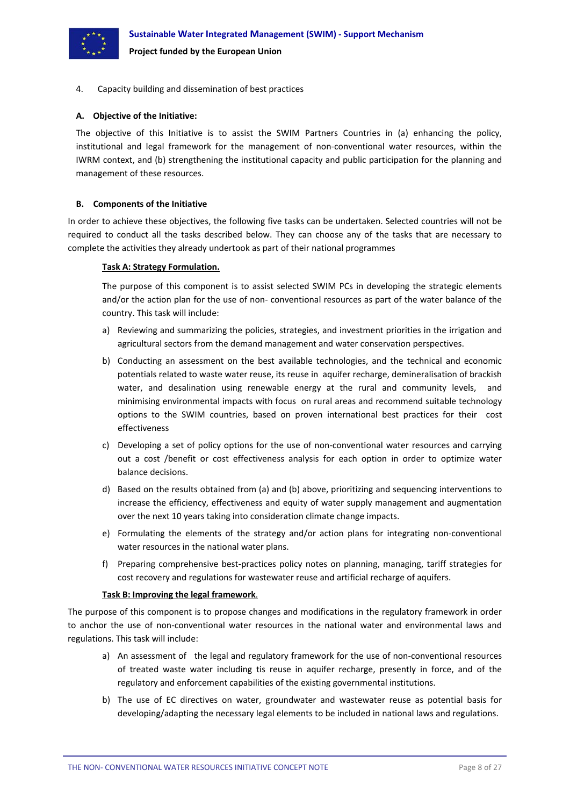

#### 4. Capacity building and dissemination of best practices

#### **A. Objective of the Initiative:**

The objective of this Initiative is to assist the SWIM Partners Countries in (a) enhancing the policy, institutional and legal framework for the management of non-conventional water resources, within the IWRM context, and (b) strengthening the institutional capacity and public participation for the planning and management of these resources.

#### **B. Components of the Initiative**

In order to achieve these objectives, the following five tasks can be undertaken. Selected countries will not be required to conduct all the tasks described below. They can choose any of the tasks that are necessary to complete the activities they already undertook as part of their national programmes

#### **Task A: Strategy Formulation.**

The purpose of this component is to assist selected SWIM PCs in developing the strategic elements and/or the action plan for the use of non‐ conventional resources as part of the water balance of the country. This task will include:

- a) Reviewing and summarizing the policies, strategies, and investment priorities in the irrigation and agricultural sectors from the demand management and water conservation perspectives.
- b) Conducting an assessment on the best available technologies, and the technical and economic potentials related to waste water reuse, its reuse in aquifer recharge, demineralisation of brackish water, and desalination using renewable energy at the rural and community levels, and minimising environmental impacts with focus on rural areas and recommend suitable technology options to the SWIM countries, based on proven international best practices for their cost effectiveness
- c) Developing a set of policy options for the use of non-conventional water resources and carrying out a cost /benefit or cost effectiveness analysis for each option in order to optimize water balance decisions.
- d) Based on the results obtained from (a) and (b) above, prioritizing and sequencing interventions to increase the efficiency, effectiveness and equity of water supply management and augmentation over the next 10 years taking into consideration climate change impacts.
- e) Formulating the elements of the strategy and/or action plans for integrating non‐conventional water resources in the national water plans.
- f) Preparing comprehensive best-practices policy notes on planning, managing, tariff strategies for cost recovery and regulations for wastewater reuse and artificial recharge of aquifers.

#### **Task B: Improving the legal framework**.

The purpose of this component is to propose changes and modifications in the regulatory framework in order to anchor the use of non‐conventional water resources in the national water and environmental laws and regulations. This task will include:

- a) An assessment of the legal and regulatory framework for the use of non-conventional resources of treated waste water including tis reuse in aquifer recharge, presently in force, and of the regulatory and enforcement capabilities of the existing governmental institutions.
- b) The use of EC directives on water, groundwater and wastewater reuse as potential basis for developing/adapting the necessary legal elements to be included in national laws and regulations.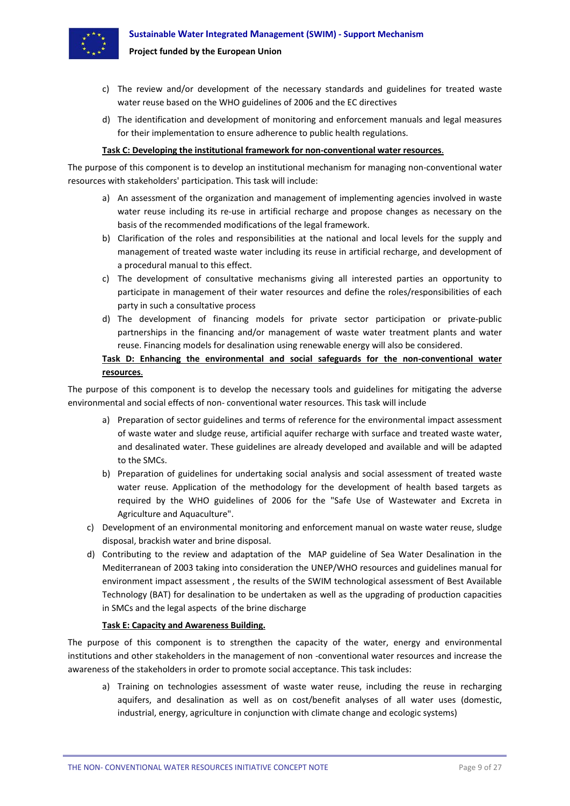

- c) The review and/or development of the necessary standards and guidelines for treated waste water reuse based on the WHO guidelines of 2006 and the EC directives
- d) The identification and development of monitoring and enforcement manuals and legal measures for their implementation to ensure adherence to public health regulations.

#### **Task C: Developing the institutional framework for non‐conventional water resources**.

The purpose of this component is to develop an institutional mechanism for managing non‐conventional water resources with stakeholders' participation. This task will include:

- a) An assessment of the organization and management of implementing agencies involved in waste water reuse including its re-use in artificial recharge and propose changes as necessary on the basis of the recommended modifications of the legal framework.
- b) Clarification of the roles and responsibilities at the national and local levels for the supply and management of treated waste water including its reuse in artificial recharge, and development of a procedural manual to this effect.
- c) The development of consultative mechanisms giving all interested parties an opportunity to participate in management of their water resources and define the roles/responsibilities of each party in such a consultative process
- d) The development of financing models for private sector participation or private‐public partnerships in the financing and/or management of waste water treatment plants and water reuse. Financing models for desalination using renewable energy will also be considered.

## **Task D: Enhancing the environmental and social safeguards for the non‐conventional water resources**.

The purpose of this component is to develop the necessary tools and guidelines for mitigating the adverse environmental and social effects of non‐ conventional water resources. This task will include

- a) Preparation of sector guidelines and terms of reference for the environmental impact assessment of waste water and sludge reuse, artificial aquifer recharge with surface and treated waste water, and desalinated water. These guidelines are already developed and available and will be adapted to the SMCs.
- b) Preparation of guidelines for undertaking social analysis and social assessment of treated waste water reuse. Application of the methodology for the development of health based targets as required by the WHO guidelines of 2006 for the "Safe Use of Wastewater and Excreta in Agriculture and Aquaculture".
- c) Development of an environmental monitoring and enforcement manual on waste water reuse, sludge disposal, brackish water and brine disposal.
- d) Contributing to the review and adaptation of the MAP guideline of Sea Water Desalination in the Mediterranean of 2003 taking into consideration the UNEP/WHO resources and guidelines manual for environment impact assessment , the results of the SWIM technological assessment of Best Available Technology (BAT) for desalination to be undertaken as well as the upgrading of production capacities in SMCs and the legal aspects of the brine discharge

#### **Task E: Capacity and Awareness Building.**

The purpose of this component is to strengthen the capacity of the water, energy and environmental institutions and other stakeholders in the management of non ‐conventional water resources and increase the awareness of the stakeholders in order to promote social acceptance. This task includes:

a) Training on technologies assessment of waste water reuse, including the reuse in recharging aquifers, and desalination as well as on cost/benefit analyses of all water uses (domestic, industrial, energy, agriculture in conjunction with climate change and ecologic systems)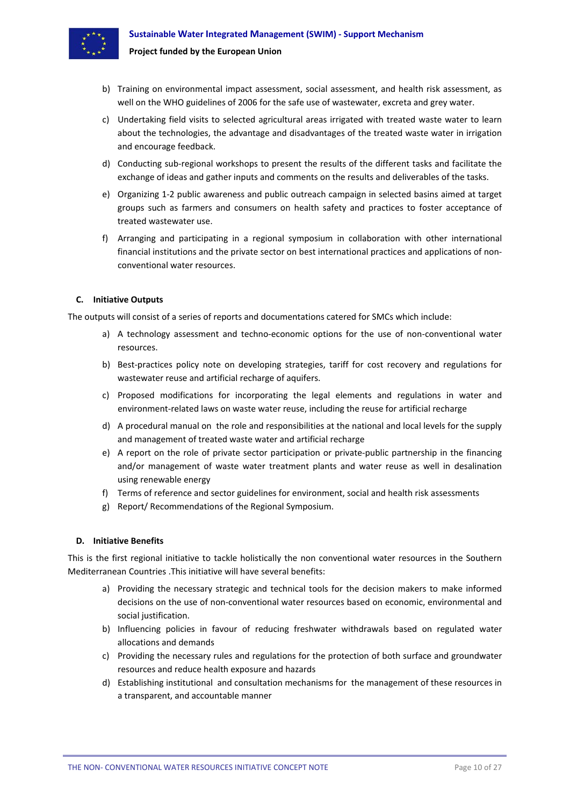

- b) Training on environmental impact assessment, social assessment, and health risk assessment, as well on the WHO guidelines of 2006 for the safe use of wastewater, excreta and grey water.
- c) Undertaking field visits to selected agricultural areas irrigated with treated waste water to learn about the technologies, the advantage and disadvantages of the treated waste water in irrigation and encourage feedback.
- d) Conducting sub‐regional workshops to present the results of the different tasks and facilitate the exchange of ideas and gather inputs and comments on the results and deliverables of the tasks.
- e) Organizing 1‐2 public awareness and public outreach campaign in selected basins aimed at target groups such as farmers and consumers on health safety and practices to foster acceptance of treated wastewater use.
- f) Arranging and participating in a regional symposium in collaboration with other international financial institutions and the private sector on best international practices and applications of non‐ conventional water resources.

#### **C. Initiative Outputs**

The outputs will consist of a series of reports and documentations catered for SMCs which include:

- a) A technology assessment and techno-economic options for the use of non-conventional water resources.
- b) Best-practices policy note on developing strategies, tariff for cost recovery and regulations for wastewater reuse and artificial recharge of aquifers.
- c) Proposed modifications for incorporating the legal elements and regulations in water and environment-related laws on waste water reuse, including the reuse for artificial recharge
- d) A procedural manual on the role and responsibilities at the national and local levels for the supply and management of treated waste water and artificial recharge
- e) A report on the role of private sector participation or private-public partnership in the financing and/or management of waste water treatment plants and water reuse as well in desalination using renewable energy
- f) Terms of reference and sector guidelines for environment, social and health risk assessments
- g) Report/ Recommendations of the Regional Symposium.

#### **D. Initiative Benefits**

This is the first regional initiative to tackle holistically the non conventional water resources in the Southern Mediterranean Countries .This initiative will have several benefits:

- a) Providing the necessary strategic and technical tools for the decision makers to make informed decisions on the use of non‐conventional water resources based on economic, environmental and social justification.
- b) Influencing policies in favour of reducing freshwater withdrawals based on regulated water allocations and demands
- c) Providing the necessary rules and regulations for the protection of both surface and groundwater resources and reduce health exposure and hazards
- d) Establishing institutional and consultation mechanisms for the management of these resources in a transparent, and accountable manner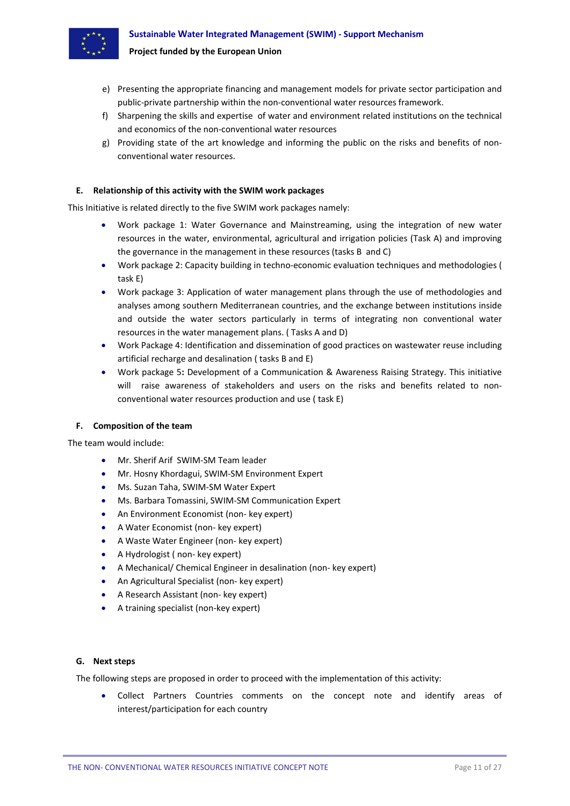

- e) Presenting the appropriate financing and management models for private sector participation and
- public‐private partnership within the non‐conventional water resources framework.
- f) Sharpening the skills and expertise of water and environment related institutions on the technical and economics of the non‐conventional water resources
- g) Providing state of the art knowledge and informing the public on the risks and benefits of nonconventional water resources.

#### **E. Relationship of this activity with the SWIM work packages**

**Project funded by the European Union**

This Initiative is related directly to the five SWIM work packages namely:

- Work package 1: Water Governance and Mainstreaming, using the integration of new water resources in the water, environmental, agricultural and irrigation policies (Task A) and improving the governance in the management in these resources (tasks B and C)
- Work package 2: Capacity building in techno-economic evaluation techniques and methodologies ( task E)
- Work package 3: Application of water management plans through the use of methodologies and analyses among southern Mediterranean countries, and the exchange between institutions inside and outside the water sectors particularly in terms of integrating non conventional water resources in the water management plans. ( Tasks A and D)
- Work Package 4: Identification and dissemination of good practices on wastewater reuse including artificial recharge and desalination ( tasks B and E)
- Work package 5**:** Development of a Communication & Awareness Raising Strategy. This initiative will raise awareness of stakeholders and users on the risks and benefits related to nonconventional water resources production and use ( task E)

## **F. Composition of the team**

The team would include:

- Mr. Sherif Arif SWIM‐SM Team leader
- Mr. Hosny Khordagui, SWIM‐SM Environment Expert
- Ms. Suzan Taha, SWIM‐SM Water Expert
- Ms. Barbara Tomassini, SWIM‐SM Communication Expert
- An Environment Economist (non- key expert)
- A Water Economist (non- key expert)
- A Waste Water Engineer (non- key expert)
- A Hydrologist (non-key expert)
- A Mechanical/ Chemical Engineer in desalination (non- key expert)
- An Agricultural Specialist (non- key expert)
- A Research Assistant (non- key expert)
- A training specialist (non-key expert)

#### **G. Next steps**

The following steps are proposed in order to proceed with the implementation of this activity:

• Collect Partners Countries comments on the concept note and identify areas of interest/participation for each country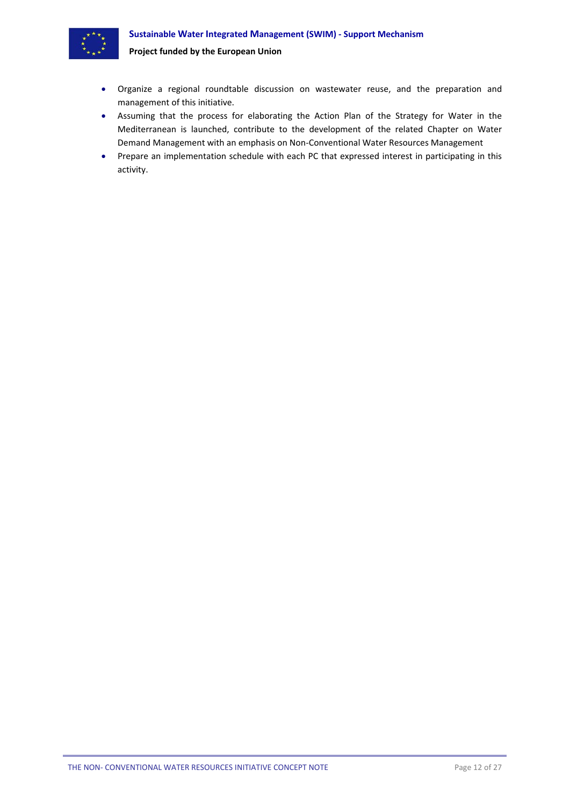

- Organize a regional roundtable discussion on wastewater reuse, and the preparation and management of this initiative.
- Assuming that the process for elaborating the Action Plan of the Strategy for Water in the Mediterranean is launched, contribute to the development of the related Chapter on Water Demand Management with an emphasis on Non‐Conventional Water Resources Management
- Prepare an implementation schedule with each PC that expressed interest in participating in this activity.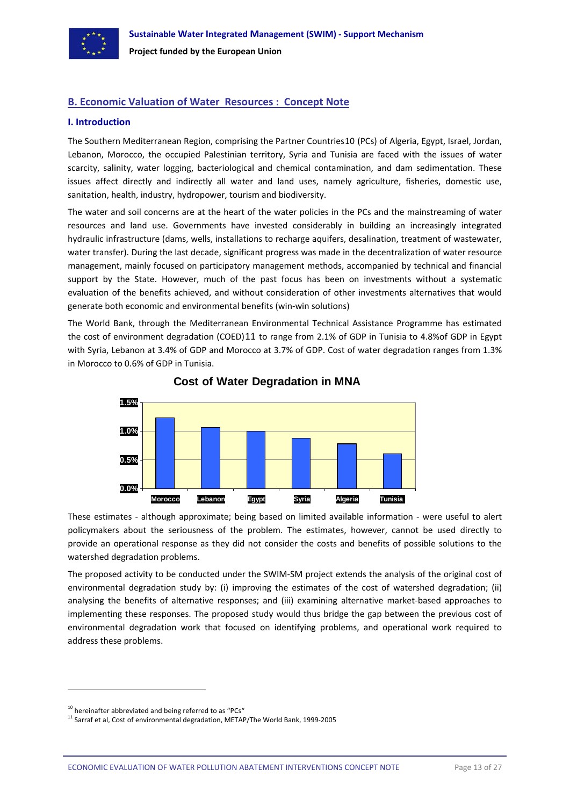<span id="page-14-0"></span>

## **B. Economic Valuation of Water Resources : Concept Note**

#### **I. Introduction**

The Southern Mediterranean Region, comprising the Partner Countries[10](#page-14-1) (PCs) of Algeria, Egypt, Israel, Jordan, Lebanon, Morocco, the occupied Palestinian territory, Syria and Tunisia are faced with the issues of water scarcity, salinity, water logging, bacteriological and chemical contamination, and dam sedimentation. These issues affect directly and indirectly all water and land uses, namely agriculture, fisheries, domestic use, sanitation, health, industry, hydropower, tourism and biodiversity.

The water and soil concerns are at the heart of the water policies in the PCs and the mainstreaming of water resources and land use. Governments have invested considerably in building an increasingly integrated hydraulic infrastructure (dams, wells, installations to recharge aquifers, desalination, treatment of wastewater, water transfer). During the last decade, significant progress was made in the decentralization of water resource management, mainly focused on participatory management methods, accompanied by technical and financial support by the State. However, much of the past focus has been on investments without a systematic evaluation of the benefits achieved, and without consideration of other investments alternatives that would generate both economic and environmental benefits (win‐win solutions)

The World Bank, through the Mediterranean Environmental Technical Assistance Programme has estimated the cost of environment degradation (COED)[11](#page-14-2) to range from 2.1% of GDP in Tunisia to 4.8%of GDP in Egypt with Syria, Lebanon at 3.4% of GDP and Morocco at 3.7% of GDP. Cost of water degradation ranges from 1.3% in Morocco to 0.6% of GDP in Tunisia.



**Cost of Water Degradation in MNA**

These estimates - although approximate; being based on limited available information - were useful to alert policymakers about the seriousness of the problem. The estimates, however, cannot be used directly to provide an operational response as they did not consider the costs and benefits of possible solutions to the watershed degradation problems.

The proposed activity to be conducted under the SWIM-SM project extends the analysis of the original cost of environmental degradation study by: (i) improving the estimates of the cost of watershed degradation; (ii) analysing the benefits of alternative responses; and (iii) examining alternative market‐based approaches to implementing these responses. The proposed study would thus bridge the gap between the previous cost of environmental degradation work that focused on identifying problems, and operational work required to address these problems.

<span id="page-14-1"></span> $10$  hereinafter abbreviated and being referred to as "PCs"

<span id="page-14-2"></span><sup>11</sup> Sarraf et al, Cost of environmental degradation, METAP/The World Bank, 1999-2005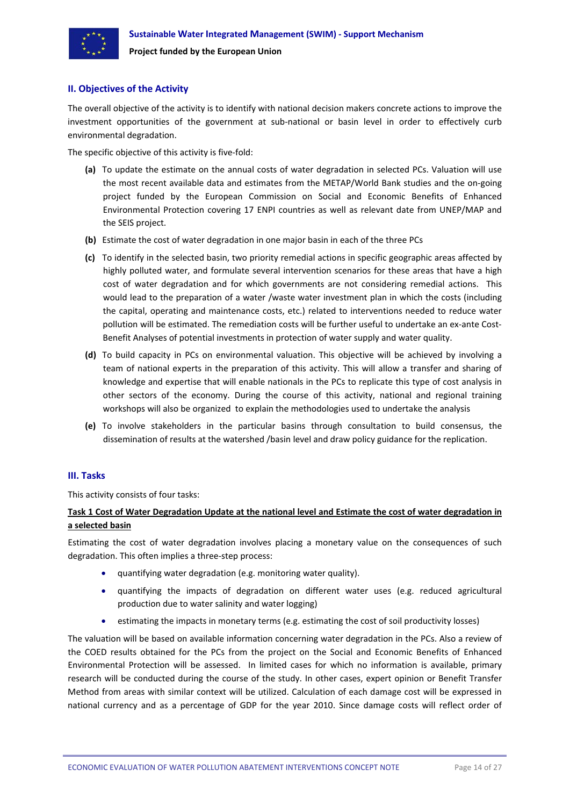<span id="page-15-0"></span>

#### **II. Objectives of the Activity**

The overall objective of the activity is to identify with national decision makers concrete actions to improve the investment opportunities of the government at sub-national or basin level in order to effectively curb environmental degradation.

The specific objective of this activity is five-fold:

- **(a)** To update the estimate on the annual costs of water degradation in selected PCs. Valuation will use the most recent available data and estimates from the METAP/World Bank studies and the on‐going project funded by the European Commission on Social and Economic Benefits of Enhanced Environmental Protection covering 17 ENPI countries as well as relevant date from UNEP/MAP and the SEIS project.
- **(b)** Estimate the cost of water degradation in one major basin in each of the three PCs
- **(c)** To identify in the selected basin, two priority remedial actions in specific geographic areas affected by highly polluted water, and formulate several intervention scenarios for these areas that have a high cost of water degradation and for which governments are not considering remedial actions. This would lead to the preparation of a water /waste water investment plan in which the costs (including the capital, operating and maintenance costs, etc.) related to interventions needed to reduce water pollution will be estimated. The remediation costs will be further useful to undertake an ex-ante Cost-Benefit Analyses of potential investments in protection of water supply and water quality.
- **(d)** To build capacity in PCs on environmental valuation. This objective will be achieved by involving a team of national experts in the preparation of this activity. This will allow a transfer and sharing of knowledge and expertise that will enable nationals in the PCs to replicate this type of cost analysis in other sectors of the economy. During the course of this activity, national and regional training workshops will also be organized to explain the methodologies used to undertake the analysis
- **(e)** To involve stakeholders in the particular basins through consultation to build consensus, the dissemination of results at the watershed /basin level and draw policy guidance for the replication.

#### **III. Tasks**

This activity consists of four tasks:

## Task 1 Cost of Water Degradation Update at the national level and Estimate the cost of water degradation in **a selected basin**

Estimating the cost of water degradation involves placing a monetary value on the consequences of such degradation. This often implies a three‐step process:

- quantifying water degradation (e.g. monitoring water quality).
- quantifying the impacts of degradation on different water uses (e.g. reduced agricultural production due to water salinity and water logging)
- estimating the impacts in monetary terms (e.g. estimating the cost of soil productivity losses)

The valuation will be based on available information concerning water degradation in the PCs. Also a review of the COED results obtained for the PCs from the project on the Social and Economic Benefits of Enhanced Environmental Protection will be assessed. In limited cases for which no information is available, primary research will be conducted during the course of the study. In other cases, expert opinion or Benefit Transfer Method from areas with similar context will be utilized. Calculation of each damage cost will be expressed in national currency and as a percentage of GDP for the year 2010. Since damage costs will reflect order of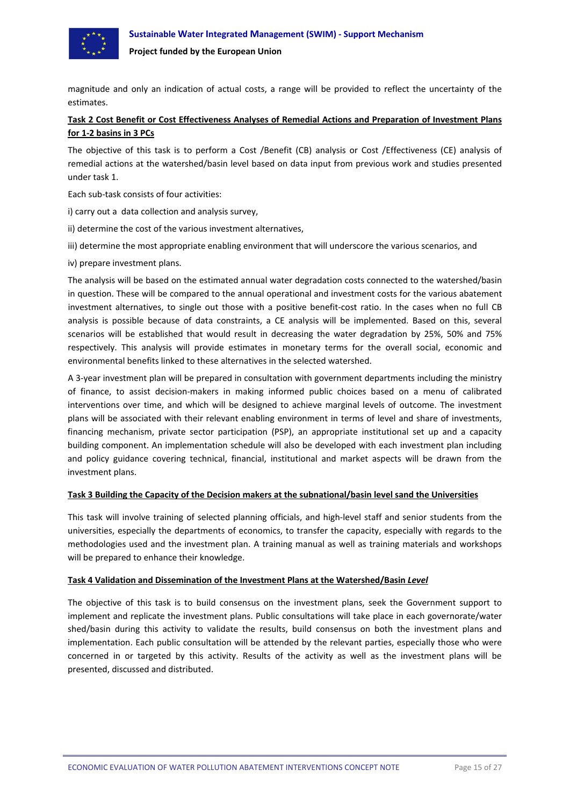



magnitude and only an indication of actual costs, a range will be provided to reflect the uncertainty of the estimates.

## Task 2 Cost Benefit or Cost Effectiveness Analyses of Remedial Actions and Preparation of Investment Plans **for 1‐2 basins in 3 PCs**

The objective of this task is to perform a Cost /Benefit (CB) analysis or Cost /Effectiveness (CE) analysis of remedial actions at the watershed/basin level based on data input from previous work and studies presented under task 1.

Each sub‐task consists of four activities:

- i) carry out a data collection and analysis survey,
- ii) determine the cost of the various investment alternatives,
- iii) determine the most appropriate enabling environment that will underscore the various scenarios, and
- iv) prepare investment plans.

The analysis will be based on the estimated annual water degradation costs connected to the watershed/basin in question. These will be compared to the annual operational and investment costs for the various abatement investment alternatives, to single out those with a positive benefit‐cost ratio. In the cases when no full CB analysis is possible because of data constraints, a CE analysis will be implemented. Based on this, several scenarios will be established that would result in decreasing the water degradation by 25%, 50% and 75% respectively. This analysis will provide estimates in monetary terms for the overall social, economic and environmental benefits linked to these alternatives in the selected watershed.

A 3‐year investment plan will be prepared in consultation with government departments including the ministry of finance, to assist decision‐makers in making informed public choices based on a menu of calibrated interventions over time, and which will be designed to achieve marginal levels of outcome. The investment plans will be associated with their relevant enabling environment in terms of level and share of investments, financing mechanism, private sector participation (PSP), an appropriate institutional set up and a capacity building component. An implementation schedule will also be developed with each investment plan including and policy guidance covering technical, financial, institutional and market aspects will be drawn from the investment plans.

#### **Task 3 Building the Capacity of the Decision makers at the subnational/basin level sand the Universities**

This task will involve training of selected planning officials, and high-level staff and senior students from the universities, especially the departments of economics, to transfer the capacity, especially with regards to the methodologies used and the investment plan. A training manual as well as training materials and workshops will be prepared to enhance their knowledge.

#### **Task 4 Validation and Dissemination of the Investment Plans at the Watershed/Basin** *Level*

The objective of this task is to build consensus on the investment plans, seek the Government support to implement and replicate the investment plans. Public consultations will take place in each governorate/water shed/basin during this activity to validate the results, build consensus on both the investment plans and implementation. Each public consultation will be attended by the relevant parties, especially those who were concerned in or targeted by this activity. Results of the activity as well as the investment plans will be presented, discussed and distributed.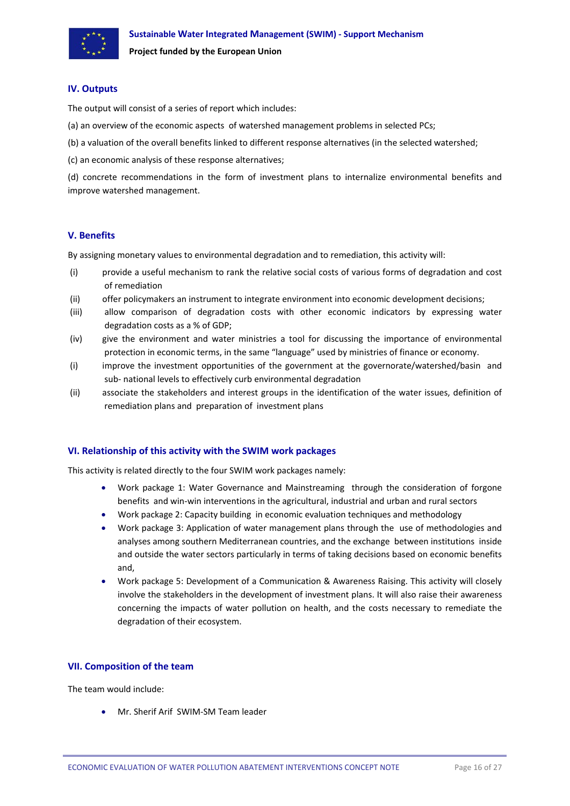<span id="page-17-0"></span>

#### **IV. Outputs**

The output will consist of a series of report which includes:

- (a) an overview of the economic aspects of watershed management problems in selected PCs;
- (b) a valuation of the overall benefits linked to different response alternatives (in the selected watershed;

(c) an economic analysis of these response alternatives;

(d) concrete recommendations in the form of investment plans to internalize environmental benefits and improve watershed management.

#### **V. Benefits**

By assigning monetary values to environmental degradation and to remediation, this activity will:

- (i) provide a useful mechanism to rank the relative social costs of various forms of degradation and cost of remediation
- (ii) offer policymakers an instrument to integrate environment into economic development decisions;
- (iii) allow comparison of degradation costs with other economic indicators by expressing water degradation costs as a % of GDP;
- (iv) give the environment and water ministries a tool for discussing the importance of environmental protection in economic terms, in the same "language" used by ministries of finance or economy.
- (i) improve the investment opportunities of the government at the governorate/watershed/basin and sub‐ national levels to effectively curb environmental degradation
- (ii) associate the stakeholders and interest groups in the identification of the water issues, definition of remediation plans and preparation of investment plans

#### **VI. Relationship of this activity with the SWIM work packages**

This activity is related directly to the four SWIM work packages namely:

- Work package 1: Water Governance and Mainstreaming through the consideration of forgone benefits and win‐win interventions in the agricultural, industrial and urban and rural sectors
- Work package 2: Capacity building in economic evaluation techniques and methodology
- Work package 3: Application of water management plans through the use of methodologies and analyses among southern Mediterranean countries, and the exchange between institutions inside and outside the water sectors particularly in terms of taking decisions based on economic benefits and,
- Work package 5: Development of a Communication & Awareness Raising. This activity will closely involve the stakeholders in the development of investment plans. It will also raise their awareness concerning the impacts of water pollution on health, and the costs necessary to remediate the degradation of their ecosystem.

#### **VII. Composition of the team**

The team would include:

• Mr. Sherif Arif SWIM‐SM Team leader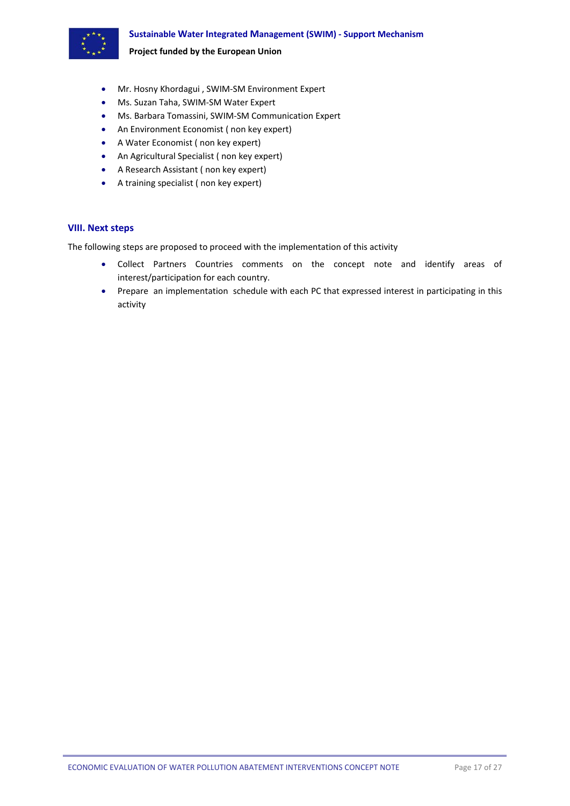<span id="page-18-0"></span>

- Mr. Hosny Khordagui , SWIM‐SM Environment Expert
- Ms. Suzan Taha, SWIM‐SM Water Expert
- Ms. Barbara Tomassini, SWIM‐SM Communication Expert
- An Environment Economist ( non key expert)
- A Water Economist ( non key expert)
- An Agricultural Specialist ( non key expert)
- A Research Assistant ( non key expert)
- A training specialist ( non key expert)

#### **VIII. Next steps**

The following steps are proposed to proceed with the implementation of this activity

- Collect Partners Countries comments on the concept note and identify areas of interest/participation for each country.
- Prepare an implementation schedule with each PC that expressed interest in participating in this activity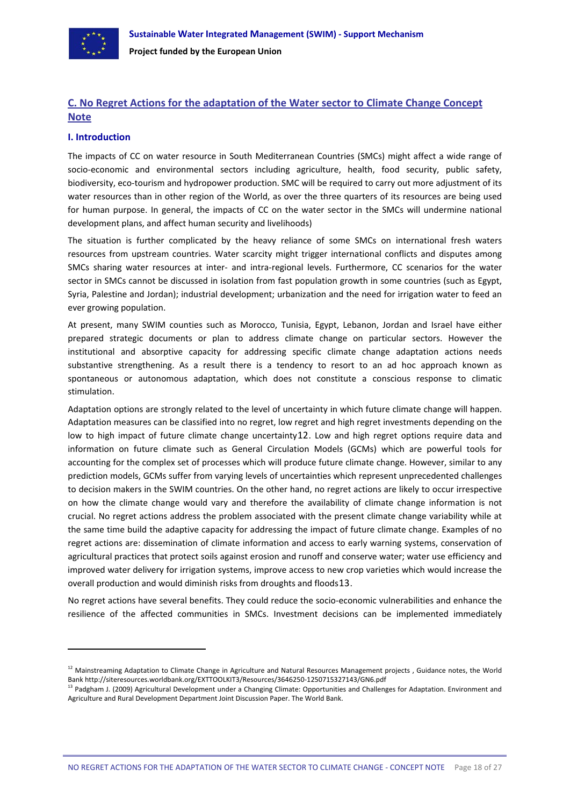<span id="page-19-0"></span>

## **C. No Regret Actions for the adaptation of the Water sector to Climate Change Concept Note**

#### **I. Introduction**

The impacts of CC on water resource in South Mediterranean Countries (SMCs) might affect a wide range of socio-economic and environmental sectors including agriculture, health, food security, public safety, biodiversity, eco‐tourism and hydropower production. SMC will be required to carry out more adjustment of its water resources than in other region of the World, as over the three quarters of its resources are being used for human purpose. In general, the impacts of CC on the water sector in the SMCs will undermine national development plans, and affect human security and livelihoods)

The situation is further complicated by the heavy reliance of some SMCs on international fresh waters resources from upstream countries. Water scarcity might trigger international conflicts and disputes among SMCs sharing water resources at inter- and intra-regional levels. Furthermore, CC scenarios for the water sector in SMCs cannot be discussed in isolation from fast population growth in some countries (such as Egypt, Syria, Palestine and Jordan); industrial development; urbanization and the need for irrigation water to feed an ever growing population.

At present, many SWIM counties such as Morocco, Tunisia, Egypt, Lebanon, Jordan and Israel have either prepared strategic documents or plan to address climate change on particular sectors. However the institutional and absorptive capacity for addressing specific climate change adaptation actions needs substantive strengthening. As a result there is a tendency to resort to an ad hoc approach known as spontaneous or autonomous adaptation, which does not constitute a conscious response to climatic stimulation.

Adaptation options are strongly related to the level of uncertainty in which future climate change will happen. Adaptation measures can be classified into no regret, low regret and high regret investments depending on the low to high impact of future climate change uncertainty[12](#page-19-1). Low and high regret options require data and information on future climate such as General Circulation Models (GCMs) which are powerful tools for accounting for the complex set of processes which will produce future climate change. However, similar to any prediction models, GCMs suffer from varying levels of uncertainties which represent unprecedented challenges to decision makers in the SWIM countries. On the other hand, no regret actions are likely to occur irrespective on how the climate change would vary and therefore the availability of climate change information is not crucial. No regret actions address the problem associated with the present climate change variability while at the same time build the adaptive capacity for addressing the impact of future climate change. Examples of no regret actions are: dissemination of climate information and access to early warning systems, conservation of agricultural practices that protect soils against erosion and runoff and conserve water; water use efficiency and improved water delivery for irrigation systems, improve access to new crop varieties which would increase the overall production and would diminish risks from droughts and floods[13](#page-19-2).

No regret actions have several benefits. They could reduce the socio‐economic vulnerabilities and enhance the resilience of the affected communities in SMCs. Investment decisions can be implemented immediately

<span id="page-19-1"></span><sup>&</sup>lt;sup>12</sup> Mainstreaming Adaptation to Climate Change in Agriculture and Natural Resources Management projects, Guidance notes, the World Bank http://siteresources.worldbank.org/EXTTOOLKIT3/Resources/3646250‐1250715327143/GN6.pdf

<span id="page-19-2"></span><sup>&</sup>lt;sup>13</sup> Padgham J. (2009) Agricultural Development under a Changing Climate: Opportunities and Challenges for Adaptation. Environment and Agriculture and Rural Development Department Joint Discussion Paper. The World Bank.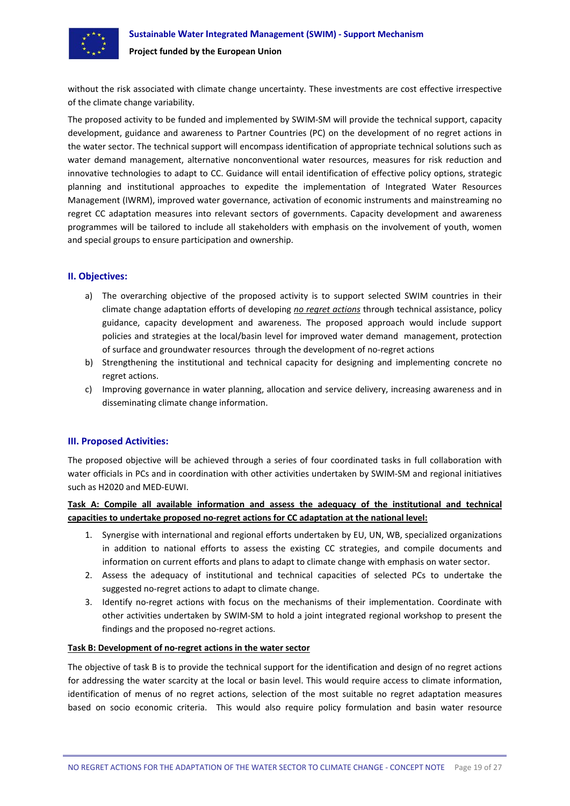<span id="page-20-0"></span>

without the risk associated with climate change uncertainty. These investments are cost effective irrespective of the climate change variability.

The proposed activity to be funded and implemented by SWIM-SM will provide the technical support, capacity development, guidance and awareness to Partner Countries (PC) on the development of no regret actions in the water sector. The technical support will encompass identification of appropriate technical solutions such as water demand management, alternative nonconventional water resources, measures for risk reduction and innovative technologies to adapt to CC. Guidance will entail identification of effective policy options, strategic planning and institutional approaches to expedite the implementation of Integrated Water Resources Management (IWRM), improved water governance, activation of economic instruments and mainstreaming no regret CC adaptation measures into relevant sectors of governments. Capacity development and awareness programmes will be tailored to include all stakeholders with emphasis on the involvement of youth, women and special groups to ensure participation and ownership.

#### **II. Objectives:**

- a) The overarching objective of the proposed activity is to support selected SWIM countries in their climate change adaptation efforts of developing *no regret actions* through technical assistance, policy guidance, capacity development and awareness. The proposed approach would include support policies and strategies at the local/basin level for improved water demand management, protection of surface and groundwater resources through the development of no‐regret actions
- b) Strengthening the institutional and technical capacity for designing and implementing concrete no regret actions.
- c) Improving governance in water planning, allocation and service delivery, increasing awareness and in disseminating climate change information.

#### **III. Proposed Activities:**

The proposed objective will be achieved through a series of four coordinated tasks in full collaboration with water officials in PCs and in coordination with other activities undertaken by SWIM-SM and regional initiatives such as H2020 and MED‐EUWI.

## **Task A: Compile all available information and assess the adequacy of the institutional and technical capacities to undertake proposed no‐regret actions for CC adaptation at the national level:**

- 1. Synergise with international and regional efforts undertaken by EU, UN, WB, specialized organizations in addition to national efforts to assess the existing CC strategies, and compile documents and information on current efforts and plans to adapt to climate change with emphasis on water sector.
- 2. Assess the adequacy of institutional and technical capacities of selected PCs to undertake the suggested no‐regret actions to adapt to climate change.
- 3. Identify no-regret actions with focus on the mechanisms of their implementation. Coordinate with other activities undertaken by SWIM‐SM to hold a joint integrated regional workshop to present the findings and the proposed no‐regret actions.

#### **Task B: Development of no‐regret actions in the water sector**

The objective of task B is to provide the technical support for the identification and design of no regret actions for addressing the water scarcity at the local or basin level. This would require access to climate information, identification of menus of no regret actions, selection of the most suitable no regret adaptation measures based on socio economic criteria. This would also require policy formulation and basin water resource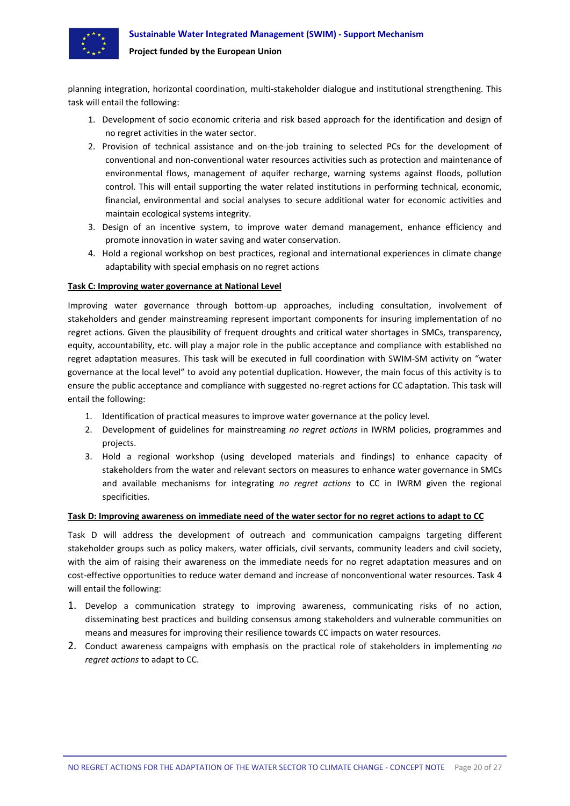

planning integration, horizontal coordination, multi‐stakeholder dialogue and institutional strengthening. This task will entail the following:

- 1. Development of socio economic criteria and risk based approach for the identification and design of no regret activities in the water sector.
- 2. Provision of technical assistance and on-the-job training to selected PCs for the development of conventional and non‐conventional water resources activities such as protection and maintenance of environmental flows, management of aquifer recharge, warning systems against floods, pollution control. This will entail supporting the water related institutions in performing technical, economic, financial, environmental and social analyses to secure additional water for economic activities and maintain ecological systems integrity.
- 3. Design of an incentive system, to improve water demand management, enhance efficiency and promote innovation in water saving and water conservation.
- 4. Hold a regional workshop on best practices, regional and international experiences in climate change adaptability with special emphasis on no regret actions

#### **Task C: Improving water governance at National Level**

Improving water governance through bottom‐up approaches, including consultation, involvement of stakeholders and gender mainstreaming represent important components for insuring implementation of no regret actions. Given the plausibility of frequent droughts and critical water shortages in SMCs, transparency, equity, accountability, etc. will play a major role in the public acceptance and compliance with established no regret adaptation measures. This task will be executed in full coordination with SWIM‐SM activity on "water governance at the local level" to avoid any potential duplication. However, the main focus of this activity is to ensure the public acceptance and compliance with suggested no-regret actions for CC adaptation. This task will entail the following:

- 1. Identification of practical measures to improve water governance at the policy level.
- 2. Development of guidelines for mainstreaming *no regret actions* in IWRM policies, programmes and projects.
- 3. Hold a regional workshop (using developed materials and findings) to enhance capacity of stakeholders from the water and relevant sectors on measures to enhance water governance in SMCs and available mechanisms for integrating *no regret actions* to CC in IWRM given the regional specificities.

#### Task D: Improving awareness on immediate need of the water sector for no regret actions to adapt to CC

Task D will address the development of outreach and communication campaigns targeting different stakeholder groups such as policy makers, water officials, civil servants, community leaders and civil society, with the aim of raising their awareness on the immediate needs for no regret adaptation measures and on cost-effective opportunities to reduce water demand and increase of nonconventional water resources. Task 4 will entail the following:

- 1. Develop a communication strategy to improving awareness, communicating risks of no action, disseminating best practices and building consensus among stakeholders and vulnerable communities on means and measures for improving their resilience towards CC impacts on water resources.
- 2. Conduct awareness campaigns with emphasis on the practical role of stakeholders in implementing *no regret actions* to adapt to CC.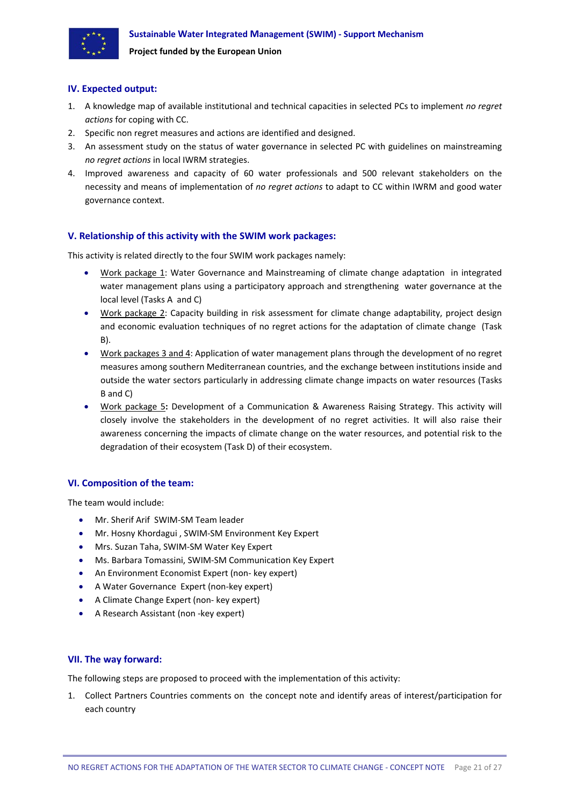<span id="page-22-0"></span>

#### **IV. Expected output:**

- 1. A knowledge map of available institutional and technical capacities in selected PCs to implement *no regret actions* for coping with CC.
- 2. Specific non regret measures and actions are identified and designed.
- 3. An assessment study on the status of water governance in selected PC with guidelines on mainstreaming *no regret actions* in local IWRM strategies.
- 4. Improved awareness and capacity of 60 water professionals and 500 relevant stakeholders on the necessity and means of implementation of *no regret actions* to adapt to CC within IWRM and good water governance context.

## **V. Relationship of this activity with the SWIM work packages:**

This activity is related directly to the four SWIM work packages namely:

- Work package 1: Water Governance and Mainstreaming of climate change adaptation in integrated water management plans using a participatory approach and strengthening water governance at the local level (Tasks A and C)
- Work package 2: Capacity building in risk assessment for climate change adaptability, project design and economic evaluation techniques of no regret actions for the adaptation of climate change (Task B).
- Work packages 3 and 4: Application of water management plans through the development of no regret measures among southern Mediterranean countries, and the exchange between institutions inside and outside the water sectors particularly in addressing climate change impacts on water resources (Tasks B and C)
- Work package 5**:** Development of a Communication & Awareness Raising Strategy. This activity will closely involve the stakeholders in the development of no regret activities. It will also raise their awareness concerning the impacts of climate change on the water resources, and potential risk to the degradation of their ecosystem (Task D) of their ecosystem.

## **VI. Composition of the team:**

The team would include:

- Mr. Sherif Arif SWIM-SM Team leader
- Mr. Hosny Khordagui , SWIM‐SM Environment Key Expert
- Mrs. Suzan Taha, SWIM‐SM Water Key Expert
- Ms. Barbara Tomassini, SWIM‐SM Communication Key Expert
- An Environment Economist Expert (non‐ key expert)
- A Water Governance Expert (non‐key expert)
- A Climate Change Expert (non- key expert)
- A Research Assistant (non -key expert)

#### **VII. The way forward:**

The following steps are proposed to proceed with the implementation of this activity:

1. Collect Partners Countries comments on the concept note and identify areas of interest/participation for each country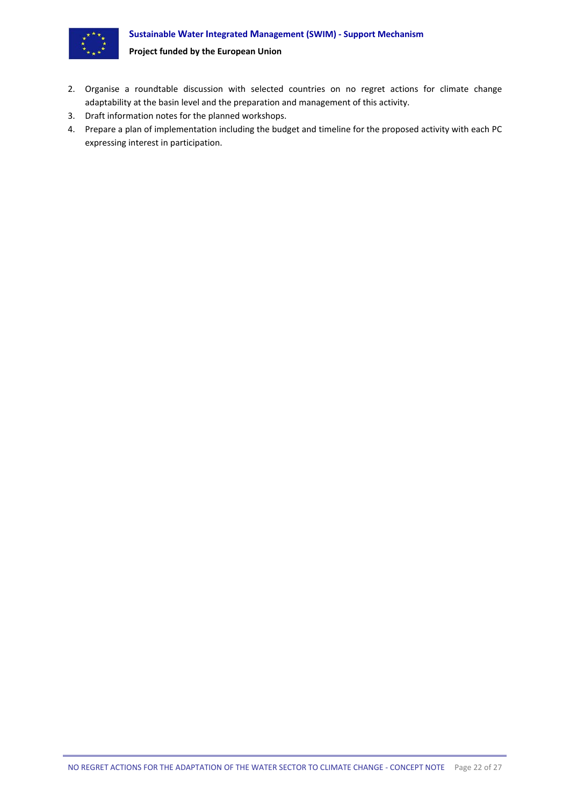#### **Sustainable Water Integrated Management (SWIM) ‐ Support Mechanism**



## **Project funded by the European Union**

- 2. Organise a roundtable discussion with selected countries on no regret actions for climate change adaptability at the basin level and the preparation and management of this activity.
- 3. Draft information notes for the planned workshops.
- 4. Prepare a plan of implementation including the budget and timeline for the proposed activity with each PC expressing interest in participation.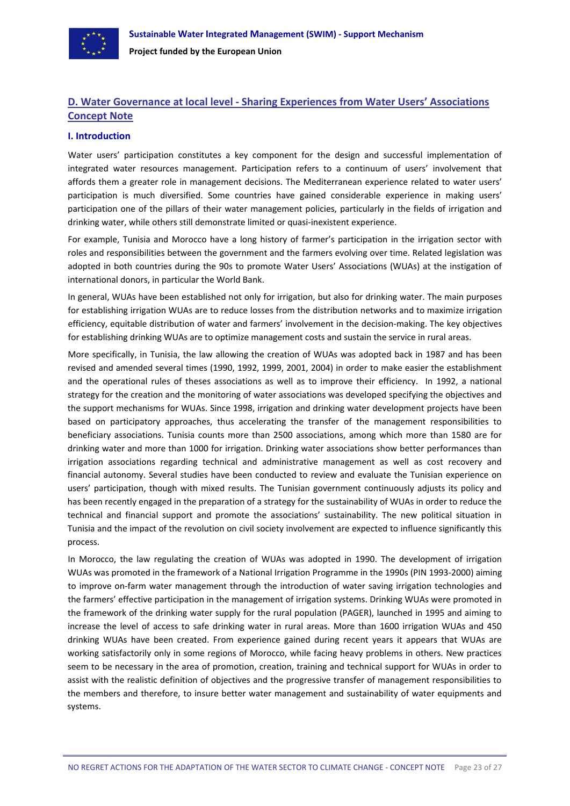<span id="page-24-0"></span>

## **D. Water Governance at local level ‐ Sharing Experiences from Water Users' Associations Concept Note**

#### **I. Introduction**

Water users' participation constitutes a key component for the design and successful implementation of integrated water resources management. Participation refers to a continuum of users' involvement that affords them a greater role in management decisions. The Mediterranean experience related to water users' participation is much diversified. Some countries have gained considerable experience in making users' participation one of the pillars of their water management policies, particularly in the fields of irrigation and drinking water, while others still demonstrate limited or quasi-inexistent experience.

For example, Tunisia and Morocco have a long history of farmer's participation in the irrigation sector with roles and responsibilities between the government and the farmers evolving over time. Related legislation was adopted in both countries during the 90s to promote Water Users' Associations (WUAs) at the instigation of international donors, in particular the World Bank.

In general, WUAs have been established not only for irrigation, but also for drinking water. The main purposes for establishing irrigation WUAs are to reduce losses from the distribution networks and to maximize irrigation efficiency, equitable distribution of water and farmers' involvement in the decision-making. The key objectives for establishing drinking WUAs are to optimize management costs and sustain the service in rural areas.

More specifically, in Tunisia, the law allowing the creation of WUAs was adopted back in 1987 and has been revised and amended several times (1990, 1992, 1999, 2001, 2004) in order to make easier the establishment and the operational rules of theses associations as well as to improve their efficiency. In 1992, a national strategy for the creation and the monitoring of water associations was developed specifying the objectives and the support mechanisms for WUAs. Since 1998, irrigation and drinking water development projects have been based on participatory approaches, thus accelerating the transfer of the management responsibilities to beneficiary associations. Tunisia counts more than 2500 associations, among which more than 1580 are for drinking water and more than 1000 for irrigation. Drinking water associations show better performances than irrigation associations regarding technical and administrative management as well as cost recovery and financial autonomy. Several studies have been conducted to review and evaluate the Tunisian experience on users' participation, though with mixed results. The Tunisian government continuously adjusts its policy and has been recently engaged in the preparation of a strategy for the sustainability of WUAs in order to reduce the technical and financial support and promote the associations' sustainability. The new political situation in Tunisia and the impact of the revolution on civil society involvement are expected to influence significantly this process.

In Morocco, the law regulating the creation of WUAs was adopted in 1990. The development of irrigation WUAs was promoted in the framework of a National Irrigation Programme in the 1990s (PIN 1993-2000) aiming to improve on-farm water management through the introduction of water saving irrigation technologies and the farmers' effective participation in the management of irrigation systems. Drinking WUAs were promoted in the framework of the drinking water supply for the rural population (PAGER), launched in 1995 and aiming to increase the level of access to safe drinking water in rural areas. More than 1600 irrigation WUAs and 450 drinking WUAs have been created. From experience gained during recent years it appears that WUAs are working satisfactorily only in some regions of Morocco, while facing heavy problems in others. New practices seem to be necessary in the area of promotion, creation, training and technical support for WUAs in order to assist with the realistic definition of objectives and the progressive transfer of management responsibilities to the members and therefore, to insure better water management and sustainability of water equipments and systems.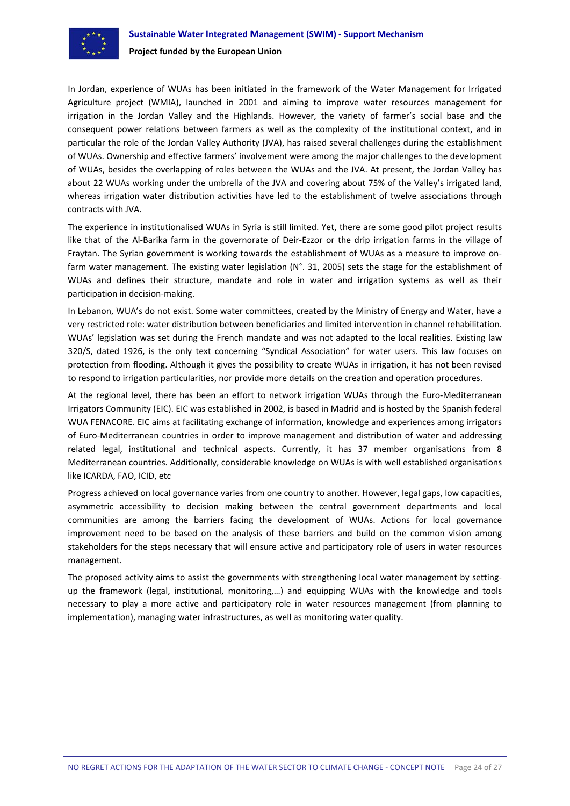

In Jordan, experience of WUAs has been initiated in the framework of the Water Management for Irrigated Agriculture project (WMIA), launched in 2001 and aiming to improve water resources management for irrigation in the Jordan Valley and the Highlands. However, the variety of farmer's social base and the consequent power relations between farmers as well as the complexity of the institutional context, and in particular the role of the Jordan Valley Authority (JVA), has raised several challenges during the establishment of WUAs. Ownership and effective farmers' involvement were among the major challenges to the development of WUAs, besides the overlapping of roles between the WUAs and the JVA. At present, the Jordan Valley has about 22 WUAs working under the umbrella of the JVA and covering about 75% of the Valley's irrigated land, whereas irrigation water distribution activities have led to the establishment of twelve associations through contracts with JVA.

The experience in institutionalised WUAs in Syria is still limited. Yet, there are some good pilot project results like that of the Al‐Barika farm in the governorate of Deir‐Ezzor or the drip irrigation farms in the village of Fraytan. The Syrian government is working towards the establishment of WUAs as a measure to improve on‐ farm water management. The existing water legislation (N°. 31, 2005) sets the stage for the establishment of WUAs and defines their structure, mandate and role in water and irrigation systems as well as their participation in decision‐making.

In Lebanon, WUA's do not exist. Some water committees, created by the Ministry of Energy and Water, have a very restricted role: water distribution between beneficiaries and limited intervention in channel rehabilitation. WUAs' legislation was set during the French mandate and was not adapted to the local realities. Existing law 320/S, dated 1926, is the only text concerning "Syndical Association" for water users. This law focuses on protection from flooding. Although it gives the possibility to create WUAs in irrigation, it has not been revised to respond to irrigation particularities, nor provide more details on the creation and operation procedures.

At the regional level, there has been an effort to network irrigation WUAs through the Euro‐Mediterranean Irrigators Community (EIC). EIC was established in 2002, is based in Madrid and is hosted by the Spanish federal WUA FENACORE. EIC aims at facilitating exchange of information, knowledge and experiences among irrigators of Euro‐Mediterranean countries in order to improve management and distribution of water and addressing related legal, institutional and technical aspects. Currently, it has 37 member organisations from 8 Mediterranean countries. Additionally, considerable knowledge on WUAs is with well established organisations like ICARDA, FAO, ICID, etc

Progress achieved on local governance varies from one country to another. However, legal gaps, low capacities, asymmetric accessibility to decision making between the central government departments and local communities are among the barriers facing the development of WUAs. Actions for local governance improvement need to be based on the analysis of these barriers and build on the common vision among stakeholders for the steps necessary that will ensure active and participatory role of users in water resources management.

The proposed activity aims to assist the governments with strengthening local water management by setting‐ up the framework (legal, institutional, monitoring,…) and equipping WUAs with the knowledge and tools necessary to play a more active and participatory role in water resources management (from planning to implementation), managing water infrastructures, as well as monitoring water quality.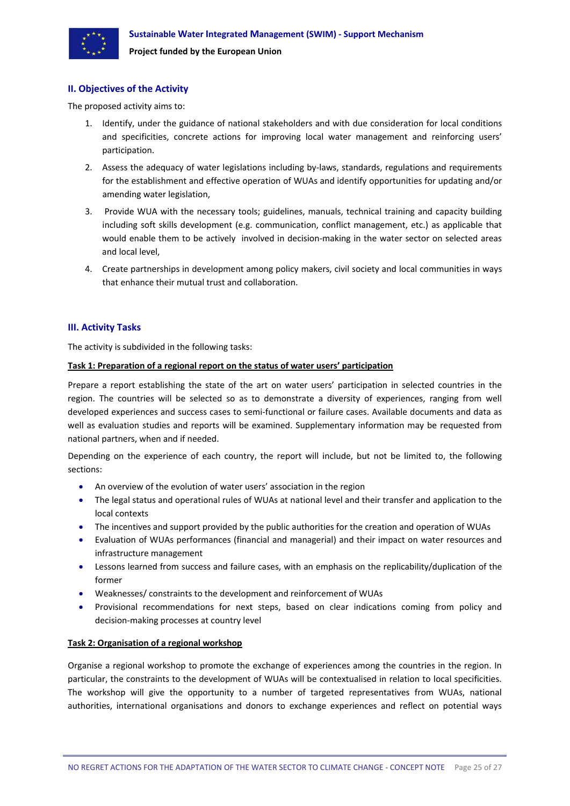<span id="page-26-0"></span>

#### **II. Objectives of the Activity**

The proposed activity aims to:

- 1. Identify, under the guidance of national stakeholders and with due consideration for local conditions and specificities, concrete actions for improving local water management and reinforcing users' participation.
- 2. Assess the adequacy of water legislations including by-laws, standards, regulations and requirements for the establishment and effective operation of WUAs and identify opportunities for updating and/or amending water legislation,
- 3. Provide WUA with the necessary tools; guidelines, manuals, technical training and capacity building including soft skills development (e.g. communication, conflict management, etc.) as applicable that would enable them to be actively involved in decision-making in the water sector on selected areas and local level,
- 4. Create partnerships in development among policy makers, civil society and local communities in ways that enhance their mutual trust and collaboration.

#### **III. Activity Tasks**

The activity is subdivided in the following tasks:

#### **Task 1: Preparation of a regional report on the status of water users' participation**

Prepare a report establishing the state of the art on water users' participation in selected countries in the region. The countries will be selected so as to demonstrate a diversity of experiences, ranging from well developed experiences and success cases to semi‐functional or failure cases. Available documents and data as well as evaluation studies and reports will be examined. Supplementary information may be requested from national partners, when and if needed.

Depending on the experience of each country, the report will include, but not be limited to, the following sections:

- An overview of the evolution of water users' association in the region
- The legal status and operational rules of WUAs at national level and their transfer and application to the local contexts
- The incentives and support provided by the public authorities for the creation and operation of WUAs
- Evaluation of WUAs performances (financial and managerial) and their impact on water resources and infrastructure management
- Lessons learned from success and failure cases, with an emphasis on the replicability/duplication of the former
- Weaknesses/ constraints to the development and reinforcement of WUAs
- Provisional recommendations for next steps, based on clear indications coming from policy and decision‐making processes at country level

## **Task 2: Organisation of a regional workshop**

Organise a regional workshop to promote the exchange of experiences among the countries in the region. In particular, the constraints to the development of WUAs will be contextualised in relation to local specificities. The workshop will give the opportunity to a number of targeted representatives from WUAs, national authorities, international organisations and donors to exchange experiences and reflect on potential ways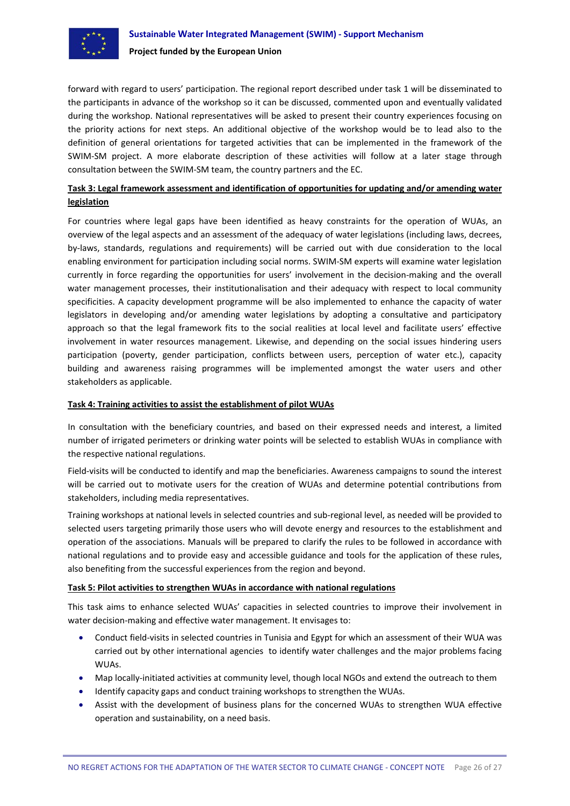

forward with regard to users' participation. The regional report described under task 1 will be disseminated to the participants in advance of the workshop so it can be discussed, commented upon and eventually validated during the workshop. National representatives will be asked to present their country experiences focusing on the priority actions for next steps. An additional objective of the workshop would be to lead also to the definition of general orientations for targeted activities that can be implemented in the framework of the SWIM‐SM project. A more elaborate description of these activities will follow at a later stage through consultation between the SWIM‐SM team, the country partners and the EC.

## **Task 3: Legal framework assessment and identification of opportunities for updating and/or amending water legislation**

For countries where legal gaps have been identified as heavy constraints for the operation of WUAs, an overview of the legal aspects and an assessment of the adequacy of water legislations (including laws, decrees, by-laws, standards, regulations and requirements) will be carried out with due consideration to the local enabling environment for participation including social norms. SWIM‐SM experts will examine water legislation currently in force regarding the opportunities for users' involvement in the decision-making and the overall water management processes, their institutionalisation and their adequacy with respect to local community specificities. A capacity development programme will be also implemented to enhance the capacity of water legislators in developing and/or amending water legislations by adopting a consultative and participatory approach so that the legal framework fits to the social realities at local level and facilitate users' effective involvement in water resources management. Likewise, and depending on the social issues hindering users participation (poverty, gender participation, conflicts between users, perception of water etc.), capacity building and awareness raising programmes will be implemented amongst the water users and other stakeholders as applicable.

#### **Task 4: Training activities to assist the establishment of pilot WUAs**

In consultation with the beneficiary countries, and based on their expressed needs and interest, a limited number of irrigated perimeters or drinking water points will be selected to establish WUAs in compliance with the respective national regulations.

Field-visits will be conducted to identify and map the beneficiaries. Awareness campaigns to sound the interest will be carried out to motivate users for the creation of WUAs and determine potential contributions from stakeholders, including media representatives.

Training workshops at national levels in selected countries and sub‐regional level, as needed will be provided to selected users targeting primarily those users who will devote energy and resources to the establishment and operation of the associations. Manuals will be prepared to clarify the rules to be followed in accordance with national regulations and to provide easy and accessible guidance and tools for the application of these rules, also benefiting from the successful experiences from the region and beyond.

#### **Task 5: Pilot activities to strengthen WUAs in accordance with national regulations**

This task aims to enhance selected WUAs' capacities in selected countries to improve their involvement in water decision-making and effective water management. It envisages to:

- Conduct field‐visits in selected countries in Tunisia and Egypt for which an assessment of their WUA was carried out by other international agencies to identify water challenges and the major problems facing WUAs.
- Map locally‐initiated activities at community level, though local NGOs and extend the outreach to them
- Identify capacity gaps and conduct training workshops to strengthen the WUAs.
- Assist with the development of business plans for the concerned WUAs to strengthen WUA effective operation and sustainability, on a need basis.